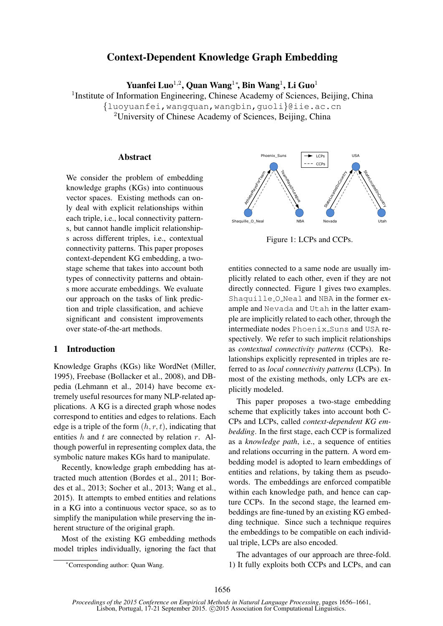# Context-Dependent Knowledge Graph Embedding

Yuanfei Luo<sup>1,2</sup>, Quan Wang<sup>1</sup>\*, Bin Wang<sup>1</sup>, Li Guo<sup>1</sup>

<sup>1</sup>Institute of Information Engineering, Chinese Academy of Sciences, Beijing, China

{luoyuanfei,wangquan,wangbin,guoli}@iie.ac.cn

<sup>2</sup>University of Chinese Academy of Sciences, Beijing, China

### **Abstract**

We consider the problem of embedding knowledge graphs (KGs) into continuous vector spaces. Existing methods can only deal with explicit relationships within each triple, i.e., local connectivity patterns, but cannot handle implicit relationships across different triples, i.e., contextual connectivity patterns. This paper proposes context-dependent KG embedding, a twostage scheme that takes into account both types of connectivity patterns and obtains more accurate embeddings. We evaluate our approach on the tasks of link prediction and triple classification, and achieve significant and consistent improvements over state-of-the-art methods.

### 1 Introduction

Knowledge Graphs (KGs) like WordNet (Miller, 1995), Freebase (Bollacker et al., 2008), and DBpedia (Lehmann et al., 2014) have become extremely useful resources for many NLP-related applications. A KG is a directed graph whose nodes correspond to entities and edges to relations. Each edge is a triple of the form  $(h, r, t)$ , indicating that entities  $h$  and  $t$  are connected by relation  $r$ . Although powerful in representing complex data, the symbolic nature makes KGs hard to manipulate.

Recently, knowledge graph embedding has attracted much attention (Bordes et al., 2011; Bordes et al., 2013; Socher et al., 2013; Wang et al., 2015). It attempts to embed entities and relations in a KG into a continuous vector space, so as to simplify the manipulation while preserving the inherent structure of the original graph.

Most of the existing KG embedding methods model triples individually, ignoring the fact that



Figure 1: LCPs and CCPs.

entities connected to a same node are usually implicitly related to each other, even if they are not directly connected. Figure 1 gives two examples. Shaquille O Neal and NBA in the former example and Nevada and Utah in the latter example are implicitly related to each other, through the intermediate nodes Phoenix Suns and USA respectively. We refer to such implicit relationships as *contextual connectivity patterns* (CCPs). Relationships explicitly represented in triples are referred to as *local connectivity patterns* (LCPs). In most of the existing methods, only LCPs are explicitly modeled.

This paper proposes a two-stage embedding scheme that explicitly takes into account both C-CPs and LCPs, called *context-dependent KG embedding*. In the first stage, each CCP is formalized as a *knowledge path*, i.e., a sequence of entities and relations occurring in the pattern. A word embedding model is adopted to learn embeddings of entities and relations, by taking them as pseudowords. The embeddings are enforced compatible within each knowledge path, and hence can capture CCPs. In the second stage, the learned embeddings are fine-tuned by an existing KG embedding technique. Since such a technique requires the embeddings to be compatible on each individual triple, LCPs are also encoded.

The advantages of our approach are three-fold. 1) It fully exploits both CCPs and LCPs, and can

<sup>∗</sup>Corresponding author: Quan Wang.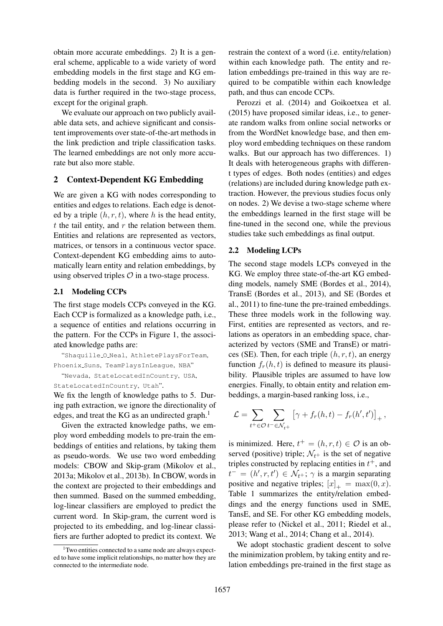obtain more accurate embeddings. 2) It is a general scheme, applicable to a wide variety of word embedding models in the first stage and KG embedding models in the second. 3) No auxiliary data is further required in the two-stage process, except for the original graph.

We evaluate our approach on two publicly available data sets, and achieve significant and consistent improvements over state-of-the-art methods in the link prediction and triple classification tasks. The learned embeddings are not only more accurate but also more stable.

### 2 Context-Dependent KG Embedding

We are given a KG with nodes corresponding to entities and edges to relations. Each edge is denoted by a triple  $(h, r, t)$ , where h is the head entity,  $t$  the tail entity, and  $r$  the relation between them. Entities and relations are represented as vectors, matrices, or tensors in a continuous vector space. Context-dependent KG embedding aims to automatically learn entity and relation embeddings, by using observed triples  $\mathcal O$  in a two-stage process.

### 2.1 Modeling CCPs

The first stage models CCPs conveyed in the KG. Each CCP is formalized as a knowledge path, i.e., a sequence of entities and relations occurring in the pattern. For the CCPs in Figure 1, the associated knowledge paths are:

"Shaquille O Neal, AthletePlaysForTeam, Phoenix Suns, TeamPlaysInLeague, NBA" "Nevada, StateLocatedInCountry, USA, StateLocatedInCountry, Utah".

We fix the length of knowledge paths to 5. Dur-

ing path extraction, we ignore the directionality of edges, and treat the KG as an undirected graph.<sup>1</sup>

Given the extracted knowledge paths, we employ word embedding models to pre-train the embeddings of entities and relations, by taking them as pseudo-words. We use two word embedding models: CBOW and Skip-gram (Mikolov et al., 2013a; Mikolov et al., 2013b). In CBOW, words in the context are projected to their embeddings and then summed. Based on the summed embedding, log-linear classifiers are employed to predict the current word. In Skip-gram, the current word is projected to its embedding, and log-linear classifiers are further adopted to predict its context. We restrain the context of a word (i.e. entity/relation) within each knowledge path. The entity and relation embeddings pre-trained in this way are required to be compatible within each knowledge path, and thus can encode CCPs.

Perozzi et al. (2014) and Goikoetxea et al. (2015) have proposed similar ideas, i.e., to generate random walks from online social networks or from the WordNet knowledge base, and then employ word embedding techniques on these random walks. But our approach has two differences. 1) It deals with heterogeneous graphs with different types of edges. Both nodes (entities) and edges (relations) are included during knowledge path extraction. However, the previous studies focus only on nodes. 2) We devise a two-stage scheme where the embeddings learned in the first stage will be fine-tuned in the second one, while the previous studies take such embeddings as final output.

### 2.2 Modeling LCPs

The second stage models LCPs conveyed in the KG. We employ three state-of-the-art KG embedding models, namely SME (Bordes et al., 2014), TransE (Bordes et al., 2013), and SE (Bordes et al., 2011) to fine-tune the pre-trained embeddings. These three models work in the following way. First, entities are represented as vectors, and relations as operators in an embedding space, characterized by vectors (SME and TransE) or matrices (SE). Then, for each triple  $(h, r, t)$ , an energy function  $f_r(h, t)$  is defined to measure its plausibility. Plausible triples are assumed to have low energies. Finally, to obtain entity and relation embeddings, a margin-based ranking loss, i.e.,

$$
\mathcal{L} = \sum_{t^+ \in \mathcal{O}} \sum_{t^- \in \mathcal{N}_{t^+}} \left[ \gamma + f_r(h, t) - f_r(h', t') \right]_+,
$$

is minimized. Here,  $t^+ = (h, r, t) \in \mathcal{O}$  is an observed (positive) triple;  $\mathcal{N}_{t+}$  is the set of negative triples constructed by replacing entities in  $t^+$ , and  $t^- = (h', r, t') \in \mathcal{N}_{t^+}; \gamma$  is a margin separating positive and negative triples;  $[x]_+ = \max(0, x)$ . Table 1 summarizes the entity/relation embeddings and the energy functions used in SME, TansE, and SE. For other KG embedding models, please refer to (Nickel et al., 2011; Riedel et al., 2013; Wang et al., 2014; Chang et al., 2014).

We adopt stochastic gradient descent to solve the minimization problem, by taking entity and relation embeddings pre-trained in the first stage as

 $1$ Two entities connected to a same node are always expected to have some implicit relationships, no matter how they are connected to the intermediate node.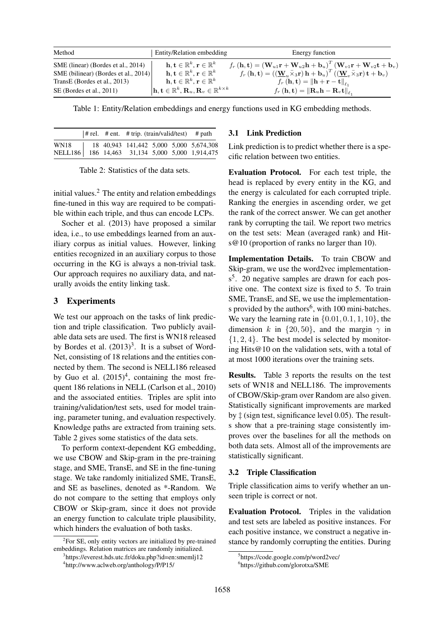| Method                               | Entity/Relation embedding                                                                            | Energy function                                                                                                                                                                     |
|--------------------------------------|------------------------------------------------------------------------------------------------------|-------------------------------------------------------------------------------------------------------------------------------------------------------------------------------------|
| SME (linear) (Bordes et al., 2014)   | $\mathbf{h}, \mathbf{t} \in \mathbb{R}^k, \mathbf{r} \in \mathbb{R}^k$                               | $f_r(\mathbf{h}, \mathbf{t}) = (\mathbf{W}_{u1} \mathbf{r} + \mathbf{W}_{u2} \mathbf{h} + \mathbf{b}_u)^T (\mathbf{W}_{v1} \mathbf{r} + \mathbf{W}_{v2} \mathbf{t} + \mathbf{b}_v)$ |
| SME (bilinear) (Bordes et al., 2014) | $\mathbf{h}, \mathbf{t} \in \mathbb{R}^k, \mathbf{r} \in \mathbb{R}^k$                               | $f_r(\mathbf{h}, \mathbf{t}) = ((\mathbf{W}_v \bar{\times}_3 \mathbf{r}) \mathbf{h} + \mathbf{b}_u)^T ((\mathbf{W}_v \bar{\times}_3 \mathbf{r}) \mathbf{t} + \mathbf{b}_v)$         |
| TransE (Bordes et al., 2013)         | $\mathbf{h}, \mathbf{t} \in \mathbb{R}^k, \mathbf{r} \in \mathbb{R}^k$                               | $f_r(\mathbf{h}, \mathbf{t}) =   \mathbf{h} + \mathbf{r} - \mathbf{t}  _{\ell_1}$                                                                                                   |
| SE (Bordes et al., 2011)             | $\big \mathbf{h},\mathbf{t}\in\mathbb{R}^{k},\mathbf{R}_{u},\mathbf{R}_{v}\in\mathbb{R}^{k\times k}$ | $f_r(\mathbf{h}, \mathbf{t}) = \ \mathbf{R}_u\mathbf{h} - \mathbf{R}_v\mathbf{t}\ _{\ell_1}$                                                                                        |

Table 1: Entity/Relation embeddings and energy functions used in KG embedding methods.

|                                                 |  | $\#$ rel. $\#$ ent. $\#$ trip. (train/valid/test) $\#$ path |  |  |                                         |
|-------------------------------------------------|--|-------------------------------------------------------------|--|--|-----------------------------------------|
| WN18                                            |  |                                                             |  |  | 18 40,943 141,442 5,000 5,000 5,674,308 |
| NELL186 186 14,463 31,134 5,000 5,000 1,914,475 |  |                                                             |  |  |                                         |

Table 2: Statistics of the data sets.

initial values.<sup>2</sup> The entity and relation embeddings fine-tuned in this way are required to be compatible within each triple, and thus can encode LCPs.

Socher et al. (2013) have proposed a similar idea, i.e., to use embeddings learned from an auxiliary corpus as initial values. However, linking entities recognized in an auxiliary corpus to those occurring in the KG is always a non-trivial task. Our approach requires no auxiliary data, and naturally avoids the entity linking task.

## 3 Experiments

We test our approach on the tasks of link prediction and triple classification. Two publicly available data sets are used. The first is WN18 released by Bordes et al.  $(2013)^3$ . It is a subset of Word-Net, consisting of 18 relations and the entities connected by them. The second is NELL186 released by Guo et al.  $(2015)^4$ , containing the most frequent 186 relations in NELL (Carlson et al., 2010) and the associated entities. Triples are split into training/validation/test sets, used for model training, parameter tuning, and evaluation respectively. Knowledge paths are extracted from training sets. Table 2 gives some statistics of the data sets.

To perform context-dependent KG embedding, we use CBOW and Skip-gram in the pre-training stage, and SME, TransE, and SE in the fine-tuning stage. We take randomly initialized SME, TransE, and SE as baselines, denoted as \*-Random. We do not compare to the setting that employs only CBOW or Skip-gram, since it does not provide an energy function to calculate triple plausibility, which hinders the evaluation of both tasks.

## 3.1 Link Prediction

Link prediction is to predict whether there is a specific relation between two entities.

Evaluation Protocol. For each test triple, the head is replaced by every entity in the KG, and the energy is calculated for each corrupted triple. Ranking the energies in ascending order, we get the rank of the correct answer. We can get another rank by corrupting the tail. We report two metrics on the test sets: Mean (averaged rank) and Hits@10 (proportion of ranks no larger than 10).

Implementation Details. To train CBOW and Skip-gram, we use the word2vec implementations<sup>5</sup>. 20 negative samples are drawn for each positive one. The context size is fixed to 5. To train SME, TransE, and SE, we use the implementations provided by the authors<sup>6</sup>, with 100 mini-batches. We vary the learning rate in  $\{0.01, 0.1, 1, 10\}$ , the dimension k in  $\{20, 50\}$ , and the margin  $\gamma$  in  ${1, 2, 4}$ . The best model is selected by monitoring Hits@10 on the validation sets, with a total of at most 1000 iterations over the training sets.

Results. Table 3 reports the results on the test sets of WN18 and NELL186. The improvements of CBOW/Skip-gram over Random are also given. Statistically significant improvements are marked by ‡ (sign test, significance level 0.05). The results show that a pre-training stage consistently improves over the baselines for all the methods on both data sets. Almost all of the improvements are statistically significant.

### 3.2 Triple Classification

Triple classification aims to verify whether an unseen triple is correct or not.

Evaluation Protocol. Triples in the validation and test sets are labeled as positive instances. For each positive instance, we construct a negative instance by randomly corrupting the entities. During

<sup>&</sup>lt;sup>2</sup>For SE, only entity vectors are initialized by pre-trained embeddings. Relation matrices are randomly initialized.

<sup>3</sup> https://everest.hds.utc.fr/doku.php?id=en:smemlj12 4 http://www.aclweb.org/anthology/P/P15/

<sup>5</sup> https://code.google.com/p/word2vec/

<sup>6</sup> https://github.com/glorotxa/SME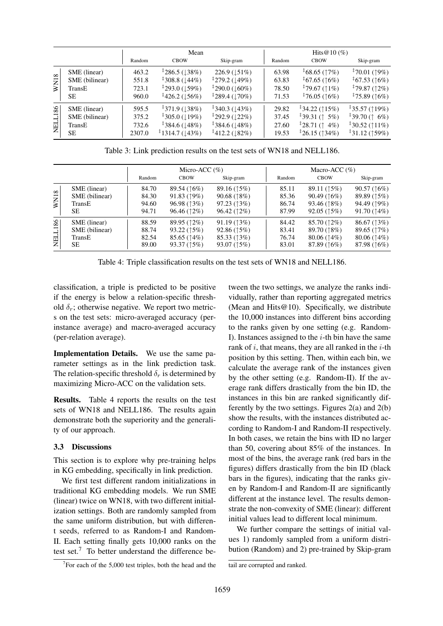|              |                | Mean   |                       |                              | Hits $@10 (\%)$ |                           |                           |  |
|--------------|----------------|--------|-----------------------|------------------------------|-----------------|---------------------------|---------------------------|--|
|              |                | Random | <b>CBOW</b>           | Skip-gram                    | Random          | <b>CBOW</b>               | Skip-gram                 |  |
| <b>WN18</b>  | SME (linear)   | 463.2  | $1286.5$ (138%)       | $226.9$ (151\%)              | 63.98           | $*68.65(17%)$             | <sup>‡</sup> 70.01 (19%)  |  |
|              | SME (bilinear) | 551.8  | $*308.8$ (144%)       | $*279.2$ (149%)              | 63.83           | $*67.65(16%)$             | <sup>‡</sup> 67.53 (16%)  |  |
|              | TransE         | 723.1  | $*293.0 (159%)$       | $*290.0$ (160%)              | 78.50           | $*79.67(1\%)$             | <sup>‡</sup> 79.87 (12%)  |  |
|              | <b>SE</b>      | 960.0  | $*426.2 \ (\pm 56\%)$ | $*289.4(170\%)$              | 71.53           | <sup>‡</sup> 76.05 (16%)  | <sup>‡</sup> 75.89 (16%)  |  |
| 86<br>NELL18 | SME (linear)   | 595.5  | $1371.9$ (138%)       | $4340.3$ (143\%)             | 29.82           | 134.22(115%)              | 135.57(19%)               |  |
|              | SME (bilinear) | 375.2  | $*305.0 (119%)$       | $*292.9$ ( $\downarrow$ 22%) | 37.45           | <sup>‡</sup> 39.31 († 5%) | $*39.70(16\%)$            |  |
|              | TransE         | 732.6  | $1384.6$ (148%)       | $1384.6$ (148%)              | 27.60           | 128.71(14%)               | <sup>‡</sup> 30.52 (11\%) |  |
|              | <b>SE</b>      | 2307.0 | $1314.7$ (143%)       | $*412.2 (\text{182\%})$      | 19.53           | $126.15(134\%)$           | 131.12(159%)              |  |

Table 3: Link prediction results on the test sets of WN18 and NELL186.

|             |                | Micro-ACC $(\%)$ |                |               | Macro-ACC $(\%)$ |                |                |
|-------------|----------------|------------------|----------------|---------------|------------------|----------------|----------------|
|             |                | Random           | <b>CBOW</b>    | Skip-gram     | Random           | <b>CBOW</b>    | Skip-gram      |
| <b>WN18</b> | SME (linear)   | 84.70            | 89.54 (16%)    | 89.16 (15%)   | 85.11            | 89.11 $(15%)$  | 90.57 $(16\%)$ |
|             | SME (bilinear) | 84.30            | 91.83 $(19%)$  | 90.68 (18%)   | 85.36            | 90.49 $(16\%)$ | 89.89 (15%)    |
|             | TransE         | 94.60            | 96.98 (13%)    | 97.23(13%)    | 86.74            | 93.46 (18%)    | 94.49 (19%)    |
|             | SЕ             | 94.71            | 96.46 $(12\%)$ | 96.42 (12%)   | 87.99            | 92.05(15%)     | 91.70 $(14%)$  |
| NELL186     | SME (linear)   | 88.59            | 89.95 (12%)    | 91.19 $(13%)$ | 84.42            | 85.70 (12%)    | 86.67 $(13%)$  |
|             | SME (bilinear) | 88.74            | 93.22(15%)     | 92.86 (15%)   | 83.41            | 89.70 (18%)    | 89.65 (17%)    |
|             | TransE         | 82.54            | 85.65 $(14%)$  | 85.33 $(13%)$ | 76.74            | 80.06 $(14\%)$ | 80.06 $(14\%)$ |
|             | SЕ             | 89.00            | 93.37 $(15%)$  | 93.07 (15%)   | 83.01            | 87.89 $(16\%)$ | 87.98 $(16%)$  |

Table 4: Triple classification results on the test sets of WN18 and NELL186.

classification, a triple is predicted to be positive if the energy is below a relation-specific threshold  $\delta_r$ ; otherwise negative. We report two metrics on the test sets: micro-averaged accuracy (perinstance average) and macro-averaged accuracy (per-relation average).

Implementation Details. We use the same parameter settings as in the link prediction task. The relation-specific threshold  $\delta_r$  is determined by maximizing Micro-ACC on the validation sets.

Results. Table 4 reports the results on the test sets of WN18 and NELL186. The results again demonstrate both the superiority and the generality of our approach.

### 3.3 Discussions

This section is to explore why pre-training helps in KG embedding, specifically in link prediction.

We first test different random initializations in traditional KG embedding models. We run SME (linear) twice on WN18, with two different initialization settings. Both are randomly sampled from the same uniform distribution, but with different seeds, referred to as Random-I and Random-II. Each setting finally gets 10,000 ranks on the test set.<sup>7</sup> To better understand the difference between the two settings, we analyze the ranks individually, rather than reporting aggregated metrics (Mean and Hits@10). Specifically, we distribute the 10,000 instances into different bins according to the ranks given by one setting (e.g. Random-I). Instances assigned to the  $i$ -th bin have the same rank of  $i$ , that means, they are all ranked in the  $i$ -th position by this setting. Then, within each bin, we calculate the average rank of the instances given by the other setting (e.g. Random-II). If the average rank differs drastically from the bin ID, the instances in this bin are ranked significantly differently by the two settings. Figures 2(a) and 2(b) show the results, with the instances distributed according to Random-I and Random-II respectively. In both cases, we retain the bins with ID no larger than 50, covering about 85% of the instances. In most of the bins, the average rank (red bars in the figures) differs drastically from the bin ID (black bars in the figures), indicating that the ranks given by Random-I and Random-II are significantly different at the instance level. The results demonstrate the non-convexity of SME (linear): different initial values lead to different local minimum.

We further compare the settings of initial values 1) randomly sampled from a uniform distribution (Random) and 2) pre-trained by Skip-gram

 $7$  For each of the 5,000 test triples, both the head and the

tail are corrupted and ranked.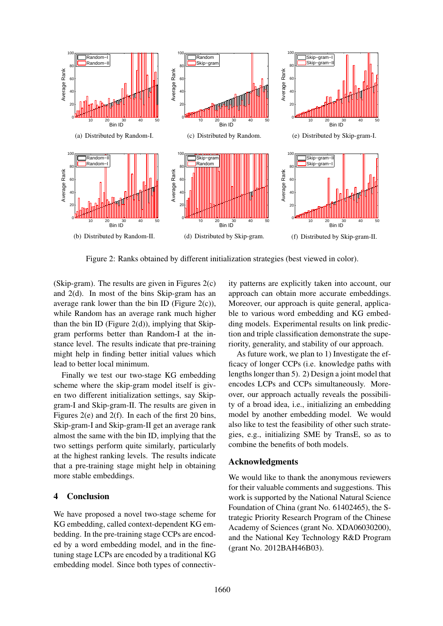

Figure 2: Ranks obtained by different initialization strategies (best viewed in color).

(Skip-gram). The results are given in Figures 2(c) and 2(d). In most of the bins Skip-gram has an average rank lower than the bin ID (Figure  $2(c)$ ), while Random has an average rank much higher than the bin ID (Figure 2(d)), implying that Skipgram performs better than Random-I at the instance level. The results indicate that pre-training might help in finding better initial values which lead to better local minimum.

Finally we test our two-stage KG embedding scheme where the skip-gram model itself is given two different initialization settings, say Skipgram-I and Skip-gram-II. The results are given in Figures 2(e) and 2(f). In each of the first 20 bins, Skip-gram-I and Skip-gram-II get an average rank almost the same with the bin ID, implying that the two settings perform quite similarly, particularly at the highest ranking levels. The results indicate that a pre-training stage might help in obtaining more stable embeddings.

# 4 Conclusion

We have proposed a novel two-stage scheme for KG embedding, called context-dependent KG embedding. In the pre-training stage CCPs are encoded by a word embedding model, and in the finetuning stage LCPs are encoded by a traditional KG embedding model. Since both types of connectivity patterns are explicitly taken into account, our approach can obtain more accurate embeddings. Moreover, our approach is quite general, applicable to various word embedding and KG embedding models. Experimental results on link prediction and triple classification demonstrate the superiority, generality, and stability of our approach.

As future work, we plan to 1) Investigate the efficacy of longer CCPs (i.e. knowledge paths with lengths longer than 5). 2) Design a joint model that encodes LCPs and CCPs simultaneously. Moreover, our approach actually reveals the possibility of a broad idea, i.e., initializing an embedding model by another embedding model. We would also like to test the feasibility of other such strategies, e.g., initializing SME by TransE, so as to combine the benefits of both models.

# Acknowledgments

We would like to thank the anonymous reviewers for their valuable comments and suggestions. This work is supported by the National Natural Science Foundation of China (grant No. 61402465), the Strategic Priority Research Program of the Chinese Academy of Sciences (grant No. XDA06030200), and the National Key Technology R&D Program (grant No. 2012BAH46B03).